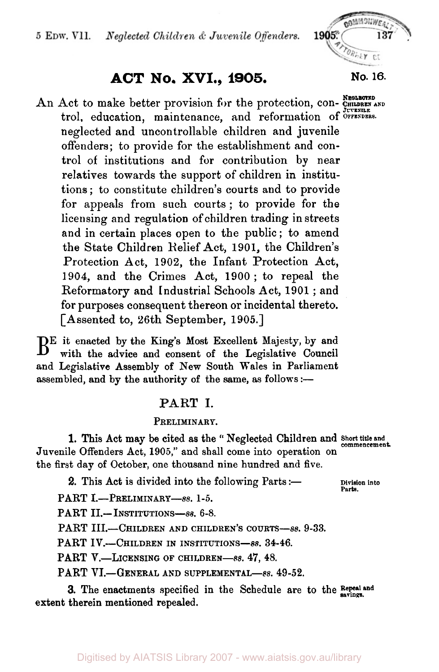### 5 EDW. VII. Neglected Children & Juvenile Offenders.

# **ACT No. XVI., 1905. No. 16.**

An Act to make better provision for the protection, con- CHILDREN AND trol, education, maintenance, and reformation of OPTENDERS. neglected and uncontrollable children and juvenile offenders; to provide for the establishment and control of institutions and for contribution by near relatives towards the support of children in institutions ; to constitute children's courts and to provide for appeals from such courts; to provide for the licensing and regulation of children trading in streets and in certain places open to the public ; to amend the State Children Relief Act, 1901, the Children's Protection Act, 1902, the Infant Protection Act, 1904, and the Crimes Act, 1900 ; to repeal the Reformatory and Industrial Schools Act, 1901 ; and for purposes consequent thereon or incidental thereto. [Assented to, 26th September, 1905.]

BE it enacted by the King's Most Excellent Majesty, by and with the advice and consent of the Legislative Council and Legislative Assembly of New South Wales in Parliament assembled, and by the authority of the same, as follows  $:$ --

### PART I.

### PRELIMINARY.

Juvenile Offenders Act, **1905,''** and shall come into operation on the first day of October, one thousand nine hundred and five. 1. This Act may be cited as the "Neglected Children and Short title and

**2.** This Act is divided into the following Parts :- Division into

**Parts.** 

PART I.-PRELIMINARY-8s. 1-5.

PART **II.**-INSTITUTIONS-8s. 6-8.

PART **III.**-CHILDREN AND CHILDREN'S COURTS-8s. 9-33.

PART IV.-CHILDREN IN INSTITUTIONS-8s. 34-46.

PART **V.**—LICENSING OF CHILDREN—88. 47, 48.

PART VI.-GENERAL AND SUPPLEMENTAL-8s. 49-52.

**3.** The enactments specified in the Schedule are to the **Repeal** and extent therein mentioned repealed.

ATTORNEY CT

GOMMONWEAN

137

1905\*

**JUVENILE** 

Digitised by AIATSIS Library 2007 - www.aiatsis.gov.au/library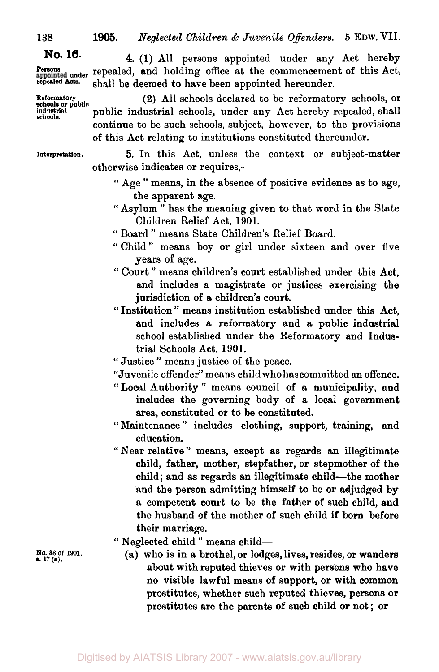**repealed** 

**Reformatory schools or public! schools.** 

**No. 16. 4. (1)** All persons appointed under any Act hereby **Persona under** repealed, and holding office at the commencement of this Act, shall be deemed to have been appointed hereunder.

> (2) All schools declared to be reformatory schools, or public industrial schools, under any Act hereby repealed, shall continue to be such schools, subject, however, to the provisions of this Act relating to institutions constituted thereunder.

**Interpretation. 5.** In this Act, unless the context or subject-matter otherwise indicates or requires,-

- " Age " means, in the absence of positive evidence as to age, the apparent age.
- " Asylum " has the meaning given to that word in the State Children Relief Act, 1901.
- " Board " means State Children's Relief Board.
- '' Child " means boy or girl under sixteen and over five years of age.
- '' Court " means children's court established under this Act, and includes a magistrate or justices exercising the jurisdiction of a children's court.
- *"* Institution '' means institution established under this Act, and includes a reformatory and **a** public industrial school established under the Reformatory and Industrial Schools Act, 1901.
- " Justice " means justice of the peace.
- "Juvenile offender" means child who has committed an offence.
- " Local Authority " means council of a municipality, and includes the governing body of a local government area, constituted or to be constituted.
- " Maintenance " includes clothing, support, training, and education.
- '' Near relative '' means, except **as** regards an illegitimate child, father, mother, stepfather, or stepmother of the child; and as regards an illegitimate child-the mother and the person admitting himself to be or adjudged **by**  a competent court to be the father of such child, and the husband of the mother of such child if born before their marriage.
- " Neglected child " means child-
	- **(a)** who is in a brothel, or lodges, lives, resides, or wanders about with reputed thieves or with persons who have no visible lawful means of support, or with common prostitutes, whether such reputed thieves, persons or prostitutes are the parents of such child or not ; or

**No. 38 of 1901.** *s.* **17 (a).**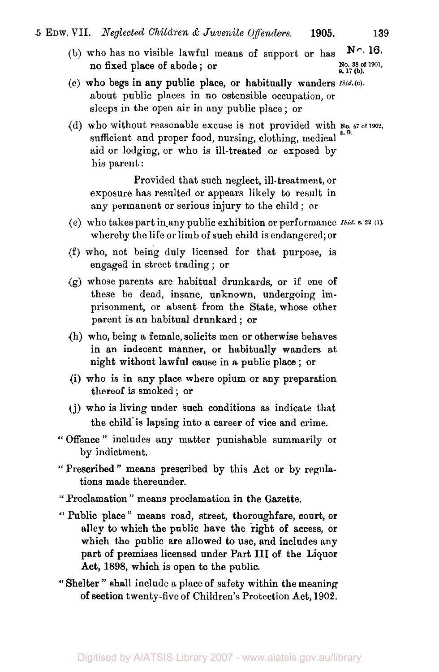(b) who has no visible lawful means of support or has **No. 16.**  *s.* **17 (b).** no fixed place of abode ; or

**No. 38 of 1901,** 

- *(c)* who begs in any public place, or habitually wanders **Ibid.(c).**  about public places in no ostensible occupation, or sleeps in the open air in any public place ; or
- sufficient and proper food, nursing, clothing, medical  $^{8.9}$ . aid or lodging, or who is ill-treated or exposed by his parent : (d) who without reasonable excuse is not provided with **No.** 47 of 1902,

Provided that such neglect, ill- treatment, or exposure has resulted or appears likely to result in any permanent or serious injury to the child ; **or** 

- (e) who takes part in-any public exhibition or performance *Ibid.* **s.22 (1).**  whereby the life or limb of such child is endangered; or
- (f) who, not being duly licensed for that purpose, is engaged in street trading ; or
- (g) whose parents are habitual drunkards, or if one of these be dead, insane, unknown, undergoing imprisonment, or absent from the State, whose other parent is an habitual drunkard ; or
- (h) who, being a female, solicits men or otherwise behaves in an indecent manner, **or** habitually wanders at night without lawful cause in **a** public place ; **or**
- {i) who is in any place where opium or any preparation thereof is smoked ; or
- **(j)** who is living under such conditions as indicate that the child is lapsing into a career of vice and crime.
- " Offence " includes any matter punishable summarily or by indictment.
- **"** Prescribed " means prescribed by this Act or by regula tions made thereunder,
- Proclamation " means proclamation in the Gazette.
- " Public place " means road, street, thoroughfare, court, or alley to which the public have the right of access, or which the public are allowed to use, and includes any part of premises licensed under Part **III** of the Liquor Act, **1898,** which is open to the public.
- '' Shelter " shall include a place of safety within the meaning **of** section twenty-five of Children's Protection Act, **1902.**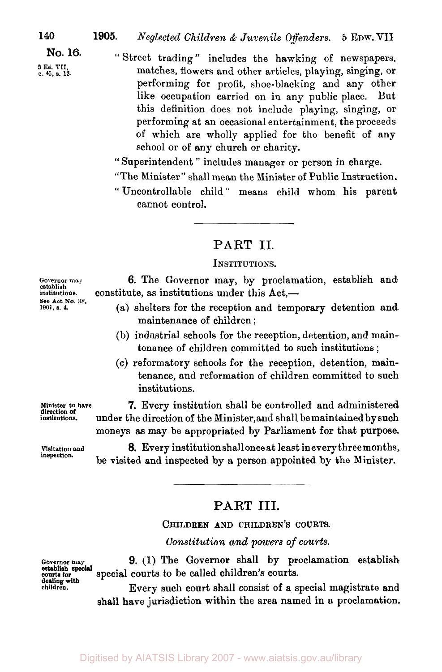**No. 16.** 

- **3 Ed. VII, c. 45,** *s.* **13.**
- " Street trading " includes the hawking of newspapers, matches, flowers and other articles, playing, singing, or performing for profit, shoe-blacking and any other like occupation carried on in any public place. But this definition does not include playing, singing, or performing at an occasional entertainment, the proceeds of which are wholly applied for the benefit of any school or of any church or charity.

'' Superintendent " includes manager or person in charge.

- "The Minister" shall mean the Minister of Public Instruction.
- " Uncontrollable child " means child whom his parent cannot control.

# **PART** II.

### **INSTITUTIONS.**

**6.** The Governor may, by proclamation, establish and constitute, as institutions under this  $Act.$ 

- (a) shelters for the reception and temporary detention and maintenance of children ;
- (b) industrial schools for the reception, detention, and maintenance of children committed to such institutions ;
- *(c)* reformatory schools for the reception, detention, maintenance, and reformation **of** children committed to **such**  institutions.

**7.** Every institution shall be controlled and administered under the direction of the Minister, and shall bemaintained by **such**  moneys as may be appropriated by Parliament for that purpose.

**8.** Every institution shall once at least in every three months, **be** visited and inspected by a person appointed by the Minister.

# **PART III.**

**CHILDREN AND CHILDREN'S COURTS.** 

*Constitution and powers of courts.* 

**9.** (1) The Governor shall by proclamation establish **courts tor** special courts to be called children's courts.

> Every such court shall consist of a special magistrate and shall have jurisdiction within the area named in a proclamation.

**Governor may establish institutions. See Act No. 38, 1901,** *s.* **4.** 

**Minister to have institutions. direction of** 

**Visitation and inspection.** 

**establish special dealing with**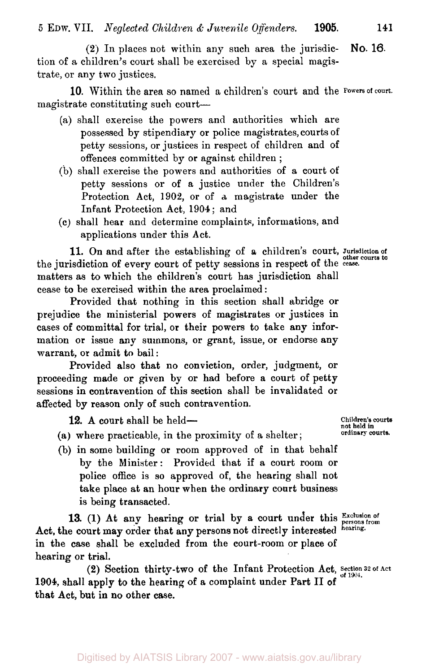*<sup>5</sup>***EDW. VII.** *Neglected Children* **&** *Juvenile Offenders.* **1905. <sup>141</sup>**

**(2)** In places not within any such area the jurisdiction of a children's court shall be exercised by a special magistrate, or any two justices. **NO. 16.** 

magistrate constituting such court-10. Within the area so named a children's court and the **Powers of court.** 

- (a) shall exercise the powers and authorities which are possessed by stipendiary or police magistrates, courts of petty sessions, or justices in respect of children and of offences committed by or against children ;
- (b) shall exercise the powers and authorities of a court of petty sessions or of a justice under the Children's Protection Act, **1902,** or of **a** magistrate under the Infant Protection Act, 1904 ; and
- *(c)* shall hear and determine complaints, informations, and applications under this Act.

11. On and after the establishing of a children's court, Jurisdiction of the jurisdiction of every court of petty sessions in respect of the **cease.**  matters as to which the children's court has jurisdiction shall cease to be exercised within the area proclaimed :

Provided that nothing in this section shall abridge or prejudice the ministerial powers of magistrates or justices in cases **of** committal for trial, or their powers to take any information or issue **any** summons, or grant, issue, or endorse any warrant, or admit to bail:

Provided also that no conviction, order, judgment, or proceeding made **or** given by or had before a court of petty sessions in contravention of this section shall be invalidated or affected by reason **only** of such contravention.

12. A court shall be held-

- (a) where practicable, in the proximity of a shelter ;
- (b) in some building or room approved of in that behalf by the Minister: Provided that if a court room or police office is so approved of, the hearing shall not take place at **an** hour when the ordinary court business is being transacted.

13. (1) At any hearing or trial by a court under this **Exclusion** of Act, the court may order that any persons not directly interested **hearing.**  in the case shall be excluded from the court-room or place **of**  hearing or trial.

(2) Section thirty-two of the Infant Protection Act, Section 32 of Act **1904,** shall apply to the hearing of a complaint under Part **II** of that Act, but **in** no other case.

**Children's courts not held in ordinary courts.**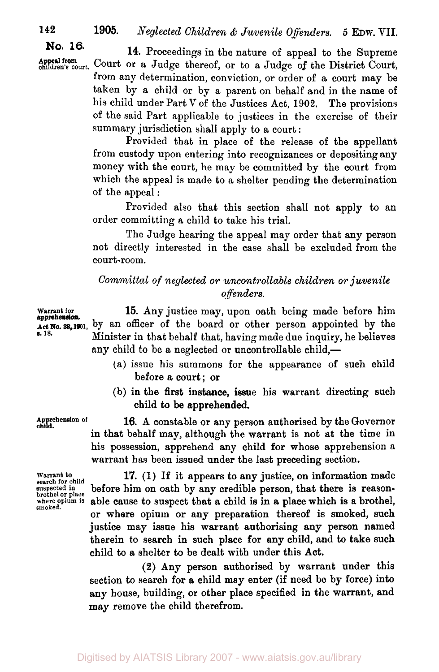**142 1905.** *Neglected Children* & *Juvenile Offenders. 5* **EDW. VII.** 

**No. 16.** 

**14.** Proceedings in the nature of appeal to the Supreme **Appeal from children's court.** Court or a Judge thereof, or to a Judge **of** the District Court, **Appeal from**  from any determination, conviction, or order of a court may be taken by a child or by a parent on behalf and in the name of his child under Part **V** of the Justices Act, **1902.** The provisions of the said Part applicable to justices in the exercise of their summary jurisdiction shall apply to a court :

> Provided that in place of the release of the appellant from custody upon entering into recognizances or depositing any money with the court, he may be committed by the court from which the appeal is made to a shelter pending the determination of the appeal :

> Provided also that this section shall not apply to an order committing a child to take his trial.

> The Judge hearing the appeal may order that any person not directly interested in the case shall be excluded from the court-room.

## *Committal of neglected or uncontrollable children or juvenile offenders.*

**Warrant for 15.** Any justice may, upon oath being made before him **Act No.38, 1901,** by an officer of the board or other person appointed by the Minister in that behalf that, having made due inquiry, he believes any child to be a neglected or uncontrollable child,-

- (a) issue his summons for the appearance of such child before a court; or
- (b) in the first instance, issue his warrant directing such child to be apprehended.

16. A constable or any person authorised by the Governor in that behalf may, although the warrant is not at the time in his possession, apprehend any child for whose apprehension a warrant has been issued under the last preceding section.

**17. (1)** If it appears to any justice, **on** information made before him on oath by any credible person, that there is reasonable cause to suspect that a child is in a place which is a brothel, or where opium or any preparation thereof is smoked, such justice may issue his warrant authorising any person named therein to search in such place for any child, and **to** take such child to a shelter to be dealt with under this Act.

**(2)** Any person authorised by warrant under this section to search for *a* child may enter (if need be by force) into any house, building, **or** other place specified in the warrant, and may remove the child therefrom.

**apprehension. s. 18.** 

**Apprehension of child.** 

**Warrant** *to*  **search for child suspected in brothel or place where opium is smoked.**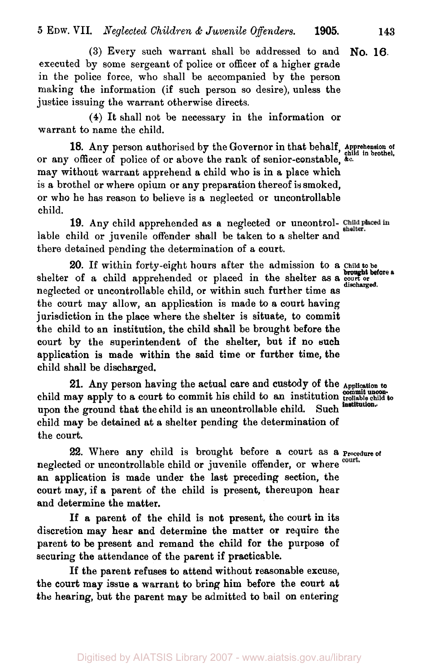*5* **EDW.** VII. *Neglected Children* & *Juvenile Offenders.* **1905. 143** 

**(3)** Every such warrant shall be addressed to and executed by some sergeant of police or officer of a higher grade in the police force, who shall be accompanied by the person making the information (if such person so desire), unless the justice issuing the warrant otherwise directs. **No. 16.** 

**(4)** It shall not be necessary in the information or warrant to name the child.

or any officer of police of or above the rank of senior-constable, **&c.**  may without warrant apprehend a child who is in a place which is a brothel or where opium or any preparation thereof is smoked, or who he has reason to believe is a neglected or uncontrollable child. 18. Any person authorised by the Governor in that behalf, Apprehension of child in brothel,

**19.** Any child apprehended as a neglected or uncontrollable child or juvenile offender shall be taken to a shelter and shelter. there detained pending the determination of a court.

**20.** If within forty-eight hours after the admission to a **Child to be**  shelter of a child apprehended or placed in the shelter as a court or neglected or uncontrollable child, or within such further time as the court may allow, an application is made to a court having jurisdiction in the place where the shelter is situate, to commit the child to an institution, the child shall be brought before the court by the superintendent of the shelter, but if **no** such application is made within the said time or further time, the child shall be discharged.

21. Any person having the actual care and custody of the Application to child may apply to a court to commit his child to an institution commit weon to controller child to the institution. upon the ground that the child is **an** uncontrollable child. Such child may be detained at a shelter pending the determination of the court.

neglected or uncontrollable child or juvenile offender, or where court. an application is made under the last preceding section, the court may, **if** a parent of the child is present, thereupon hear and determine the matter. *22.* Where any child is brought before a court as a **Procedure of** 

If **a** parent **of** the child is not present, the court **in** its discretion may hear and determine the matter **or** require the parent to be present and remand the child for the purpose of securing the attendance of the parent if practicable.

If the parent refuses to attend without reasonable excuse, the court may issue **a** warrant to bring him before the court at the hearing, but the parent may be admitted to bail **on** entering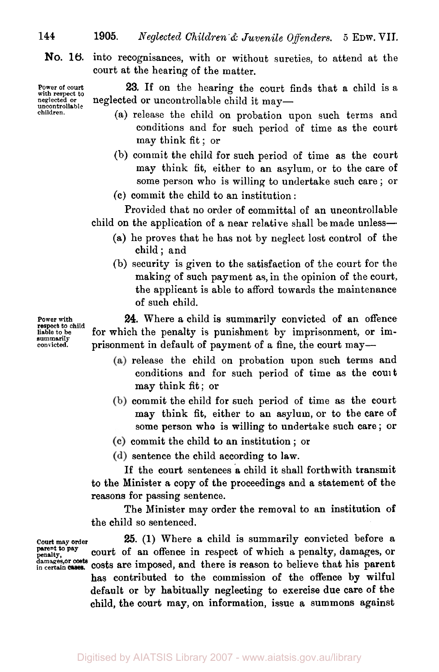**1905.** *Neglected Children & Juvenile Offenders.* **5 EDW. VII.** 

**No. 16.**  into recognisances, with or without sureties, to attend at the court at the hearing of the matter.

**Power of court with respect to neglected or uncontrollable children.** 

**23.** If on the hearing the court finds that a child is a neglected or uncontrollable child it may-

- (a) release the child on probation upon such terms and conditions and for such period of time as the court may think fit ; or
- (b) commit the child for such period of time **as** the court may think fit, either to an asylum, or to the care of some person who is willing to undertake such care ; or
- **(c)** commit the child to an institution :

Provided that no order of committal of an uncontrollable child on the application of a near relative shall be made unless-

- (a) he proves that he has not by neglect lost control of the child; and
- (b) security is given to the satisfaction of the court for the making of such payment as, in the opinion of the court, the applicant is able to afford towards the maintenance of such child.

**24.** Where a child is summarily convicted of an offence for which the penalty is punishment by imprisonment, or imprisonment in default of payment of a fine, the court may-

- (a) release the child on probation upon such terms and conditions and for such period of time as the court may think fit; or
- commit the child for such period of time as the court may think fit, either to an asylum, or to the care **of**  some person who is willing to undertake such care ; **or**
- commit the child to an institution ; or

(d) sentence the child according to law.

If the court sentences a child it shall forthwith transmit to the Minister a copy of the proceedings and a statement of the reasons for passing sentence.

The Minister may order the removal to an institution **of**  the child so sentenced.

**25. (1)** Where a child is summarily convicted before a court of an offence in respect of which **a** penalty, damages, **or**  costs are imposed, and there is reason to believe that his parent has contributed to the commission of the offence **by** wilful default or by habitually neglecting to exercise due care **of** the child, the court may, on information, issue a summons against

**Power with respect to child liable to be summarily convicted.** 

**Court may order parent** *to* **pay penalty, damages or costs in certain** 

**144**